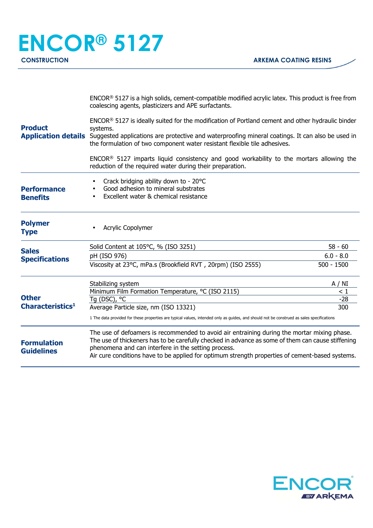| <b>Product</b>                                                                        | ENCOR® 5127 is a high solids, cement-compatible modified acrylic latex. This product is free from<br>coalescing agents, plasticizers and APE surfactants.<br>ENCOR® 5127 is ideally suited for the modification of Portland cement and other hydraulic binder<br>systems.<br>Application details Suggested applications are protective and waterproofing mineral coatings. It can also be used in<br>the formulation of two component water resistant flexible tile adhesives. |                             |
|---------------------------------------------------------------------------------------|--------------------------------------------------------------------------------------------------------------------------------------------------------------------------------------------------------------------------------------------------------------------------------------------------------------------------------------------------------------------------------------------------------------------------------------------------------------------------------|-----------------------------|
|                                                                                       | ENCOR <sup>®</sup> 5127 imparts liquid consistency and good workability to the mortars allowing the<br>reduction of the required water during their preparation.                                                                                                                                                                                                                                                                                                               |                             |
| <b>Performance</b><br><b>Benefits</b>                                                 | Crack bridging ability down to - 20°C<br>Good adhesion to mineral substrates<br>Excellent water & chemical resistance<br>$\bullet$                                                                                                                                                                                                                                                                                                                                             |                             |
| <b>Polymer</b><br><b>Type</b>                                                         | <b>Acrylic Copolymer</b>                                                                                                                                                                                                                                                                                                                                                                                                                                                       |                             |
| <b>Sales</b><br><b>Specifications</b><br><b>Other</b><br>Characteristics <sup>1</sup> | Solid Content at 105°C, % (ISO 3251)                                                                                                                                                                                                                                                                                                                                                                                                                                           | $58 - 60$                   |
|                                                                                       | pH (ISO 976)<br>Viscosity at 23°C, mPa.s (Brookfield RVT, 20rpm) (ISO 2555)                                                                                                                                                                                                                                                                                                                                                                                                    | $6.0 - 8.0$<br>$500 - 1500$ |
|                                                                                       | Stabilizing system<br>Minimum Film Formation Temperature, °C (ISO 2115)                                                                                                                                                                                                                                                                                                                                                                                                        | A / NI<br>$\leq 1$          |
|                                                                                       | Tg (DSC), °C                                                                                                                                                                                                                                                                                                                                                                                                                                                                   | $-28$                       |
|                                                                                       | 300<br>Average Particle size, nm (ISO 13321)<br>1 The data provided for these properties are typical values, intended only as guides, and should not be construed as sales specifications                                                                                                                                                                                                                                                                                      |                             |
| <b>Formulation</b><br><b>Guidelines</b>                                               | The use of defoamers is recommended to avoid air entraining during the mortar mixing phase.<br>The use of thickeners has to be carefully checked in advance as some of them can cause stiffening<br>phenomena and can interfere in the setting process.<br>Air cure conditions have to be applied for optimum strength properties of cement-based systems.                                                                                                                     |                             |